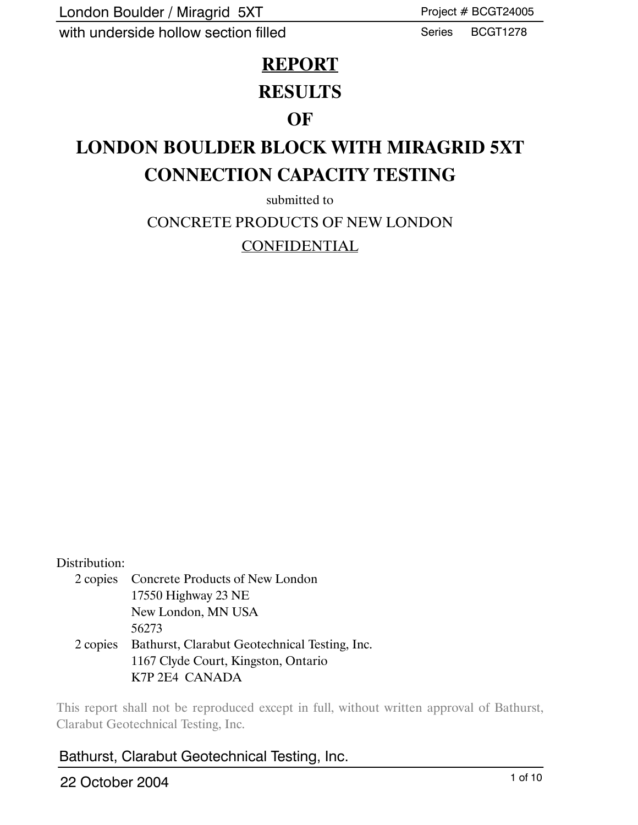London Boulder / Miragrid 5XT

with underside hollow section filled

Project # BCGT24005

Series BCGT1278

### **REPORT**

## **RESULTS**

### **OF**

# **LONDON BOULDER BLOCK WITH MIRAGRID 5XT CONNECTION CAPACITY TESTING**

submitted to

CONCRETE PRODUCTS OF NEW LONDON

CONFIDENTIAL

#### Distribution:

2 copies Concrete Products of New London 17550 Highway 23 NE New London, MN USA 56273 2 copies Bathurst, Clarabut Geotechnical Testing, Inc. 1167 Clyde Court, Kingston, Ontario K7P 2E4 CANADA

This report shall not be reproduced except in full, without written approval of Bathurst, Clarabut Geotechnical Testing, Inc.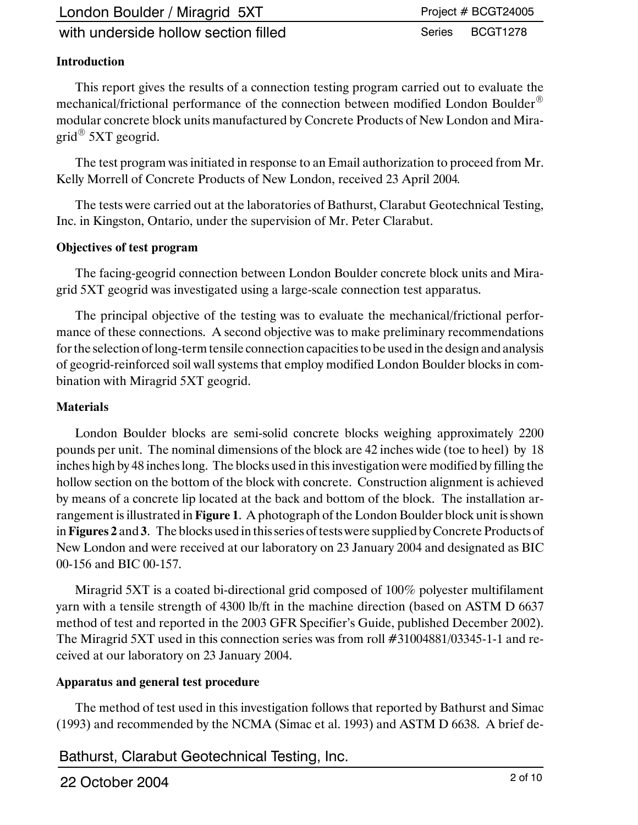London Boulder / Miragrid 5XT

with underside hollow section filled

#### Project # BCGT24005

Series BCGT1278

#### **Introduction**

This report gives the results of a connection testing program carried out to evaluate the mechanical/frictional performance of the connection between modified London Boulder<sup>®</sup> modular concrete block units manufactured by Concrete Products of New London and Miragrid $\mathscr{\mathcal{B}}$  5XT geogrid.

The test program was initiated in response to an Email authorization to proceed from Mr. Kelly Morrell of Concrete Products of New London, received 23 April 2004*.*

The tests were carried out at the laboratories of Bathurst, Clarabut Geotechnical Testing, Inc. in Kingston, Ontario, under the supervision of Mr. Peter Clarabut.

#### **Objectives of test program**

The facing-geogrid connection between London Boulder concrete block units and Miragrid 5XT geogrid was investigated using a large-scale connection test apparatus.

The principal objective of the testing was to evaluate the mechanical/frictional performance of these connections. A second objective was to make preliminary recommendations for the selection of long-term tensile connection capacities to be used in the design and analysis of geogrid-reinforced soil wall systems that employ modified London Boulder blocks in combination with Miragrid 5XT geogrid.

#### **Materials**

London Boulder blocks are semi-solid concrete blocks weighing approximately 2200 pounds per unit. The nominal dimensions of the block are 42 inches wide (toe to heel) by 18 inches high by 48 inches long. The blocks used in this investigation were modified by filling the hollow section on the bottom of the block with concrete. Construction alignment is achieved by means of a concrete lip located at the back and bottom of the block. The installation arrangement is illustrated in **Figure 1**. A photograph of the London Boulder block unit is shown in **Figures 2** and **3**. The blocks used in this series of tests were supplied by Concrete Products of New London and were received at our laboratory on 23 January 2004 and designated as BIC 00-156 and BIC 00-157.

Miragrid 5XT is a coated bi-directional grid composed of 100% polyester multifilament yarn with a tensile strength of 4300 lb/ft in the machine direction (based on ASTM D 6637 method of test and reported in the 2003 GFR Specifier's Guide, published December 2002). The Miragrid 5XT used in this connection series was from roll #31004881/03345-1-1 and received at our laboratory on 23 January 2004.

#### **Apparatus and general test procedure**

The method of test used in this investigation follows that reported by Bathurst and Simac (1993) and recommended by the NCMA (Simac et al. 1993) and ASTM D 6638. A brief de-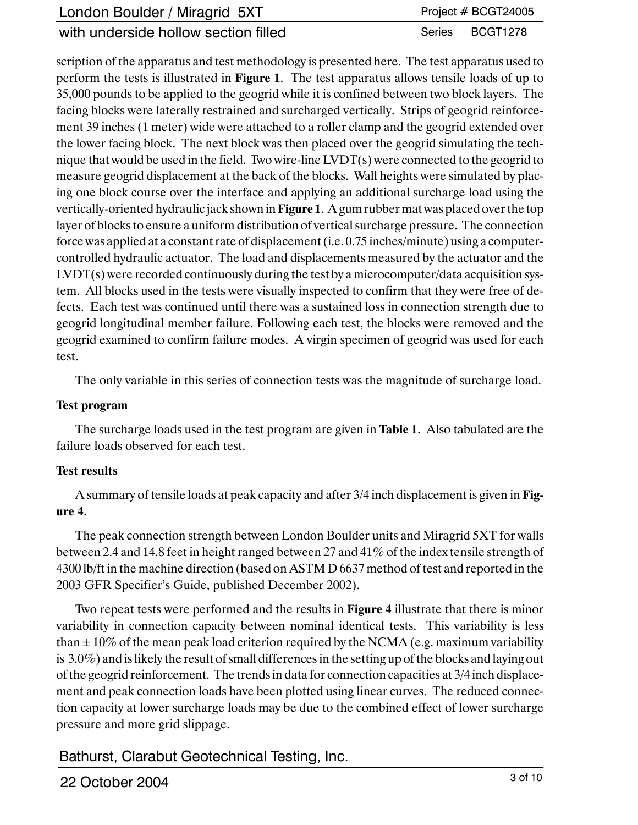| London Boulder / Miragrid 5XT        | Project # BCGT24005 |
|--------------------------------------|---------------------|
| with underside hollow section filled | Series BCGT1278     |

scription of the apparatus and test methodology is presented here. The test apparatus used to perform the tests is illustrated in **Figure 1**. The test apparatus allows tensile loads of up to 35,000 pounds to be applied to the geogrid while it is confined between two block layers. The facing blocks were laterally restrained and surcharged vertically. Strips of geogrid reinforcement 39 inches (1 meter) wide were attached to a roller clamp and the geogrid extended over the lower facing block. The next block was then placed over the geogrid simulating the technique that would be used in the field. Two wire-line LVDT(s) were connected to the geogrid to measure geogrid displacement at the back of the blocks. Wall heights were simulated by placing one block course over the interface and applying an additional surcharge load using the vertically-oriented hydraulic jack shown in**Figure 1**. A gum rubber mat was placed over the top layer of blocks to ensure a uniform distribution of vertical surcharge pressure. The connection force was applied at a constant rate of displacement (i.e. 0.75 inches/minute) using a computercontrolled hydraulic actuator. The load and displacements measured by the actuator and the LVDT(s) were recorded continuously during the test by a microcomputer/data acquisition system. All blocks used in the tests were visually inspected to confirm that they were free of defects. Each test was continued until there was a sustained loss in connection strength due to geogrid longitudinal member failure. Following each test, the blocks were removed and the geogrid examined to confirm failure modes. A virgin specimen of geogrid was used for each test.

The only variable in this series of connection tests was the magnitude of surcharge load.

#### **Test program**

The surcharge loads used in the test program are given in **Table 1**. Also tabulated are the failure loads observed for each test.

#### **Test results**

A summary of tensile loads at peak capacity and after 3/4 inch displacement is given in **Figure 4**.

The peak connection strength between London Boulder units and Miragrid 5XT for walls between 2.4 and 14.8 feet in height ranged between 27 and 41% of the index tensile strength of 4300 lb/ft in the machine direction (based on ASTM D 6637 method of test and reported in the 2003 GFR Specifier's Guide, published December 2002).

Two repeat tests were performed and the results in **Figure 4** illustrate that there is minor variability in connection capacity between nominal identical tests. This variability is less than  $\pm 10\%$  of the mean peak load criterion required by the NCMA (e.g. maximum variability is 3.0%) and is likely the result of small differences in the setting up of the blocks and laying out of the geogrid reinforcement. The trends in data for connection capacities at 3/4 inch displacement and peak connection loads have been plotted using linear curves. The reduced connection capacity at lower surcharge loads may be due to the combined effect of lower surcharge pressure and more grid slippage.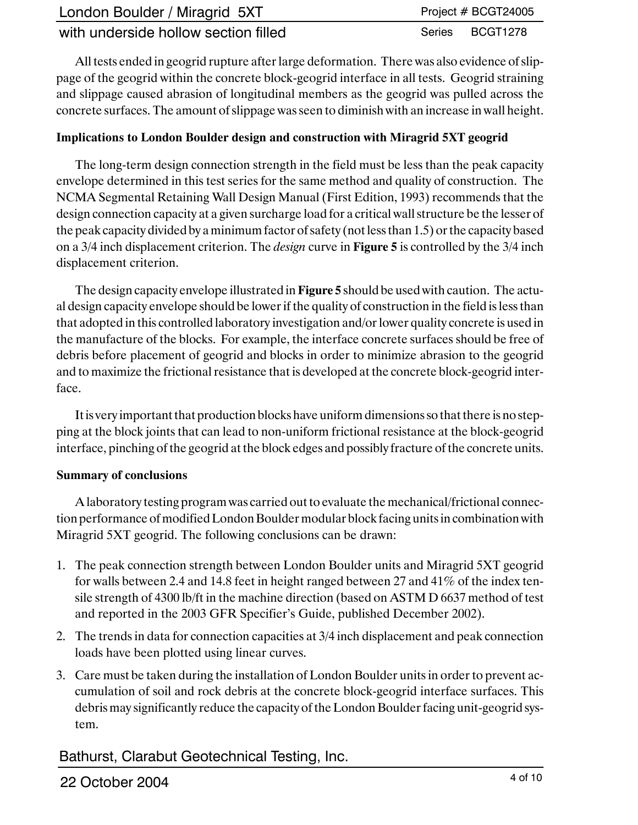| London Boulder / Miragrid 5XT        | Project $# BCGT24005$ |
|--------------------------------------|-----------------------|
| with underside hollow section filled | Series BCGT1278       |

All tests ended in geogrid rupture after large deformation. There was also evidence of slippage of the geogrid within the concrete block-geogrid interface in all tests. Geogrid straining and slippage caused abrasion of longitudinal members as the geogrid was pulled across the concrete surfaces. The amount of slippage was seen to diminish with an increase in wall height.

#### **Implications to London Boulder design and construction with Miragrid 5XT geogrid**

The long-term design connection strength in the field must be less than the peak capacity envelope determined in this test series for the same method and quality of construction. The NCMA Segmental Retaining Wall Design Manual (First Edition, 1993) recommends that the design connection capacity at a given surcharge load for a critical wall structure be the lesser of the peak capacity divided by a minimum factor of safety (not less than 1.5) or the capacity based on a 3/4 inch displacement criterion. The *design* curve in **Figure 5** is controlled by the 3/4 inch displacement criterion.

The design capacity envelope illustrated in **Figure 5** should be used with caution. The actual design capacity envelope should be lower if the quality of construction in the field is less than that adopted in this controlled laboratory investigation and/or lower quality concrete is used in the manufacture of the blocks. For example, the interface concrete surfaces should be free of debris before placement of geogrid and blocks in order to minimize abrasion to the geogrid and to maximize the frictional resistance that is developed at the concrete block-geogrid interface.

Itis very important that production blocks have uniform dimensions so that there is no stepping at the block joints that can lead to non-uniform frictional resistance at the block-geogrid interface, pinching of the geogrid at the block edges and possibly fracture of the concrete units.

#### **Summary of conclusions**

A laboratory testing program was carried out to evaluate the mechanical/frictional connection performance of modified London Boulder modular block facing unitsin combination with Miragrid 5XT geogrid. The following conclusions can be drawn:

- 1. The peak connection strength between London Boulder units and Miragrid 5XT geogrid for walls between 2.4 and 14.8 feet in height ranged between 27 and 41% of the index tensile strength of 4300 lb/ft in the machine direction (based on ASTM D 6637 method of test and reported in the 2003 GFR Specifier's Guide, published December 2002).
- 2. The trends in data for connection capacities at 3/4 inch displacement and peak connection loads have been plotted using linear curves.
- 3. Care must be taken during the installation of London Boulder units in order to prevent accumulation of soil and rock debris at the concrete block-geogrid interface surfaces. This debris may significantly reduce the capacity of the London Boulder facing unit-geogrid system.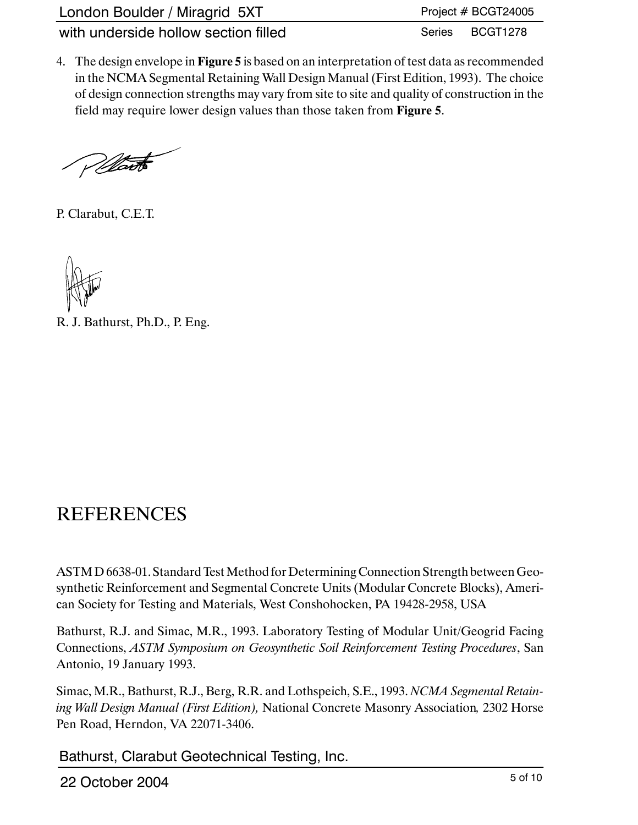| London Boulder / Miragrid 5XT        | Project # BCGT24005 |
|--------------------------------------|---------------------|
| with underside hollow section filled | Series BCGT1278     |

4. The design envelope in **Figure 5** is based on an interpretation of test data as recommended in the NCMA Segmental Retaining Wall Design Manual (First Edition, 1993). The choice of design connection strengths may vary from site to site and quality of construction in the field may require lower design values than those taken from **Figure 5**.

Wart

P. Clarabut, C.E.T.

R. J. Bathurst, Ph.D., P. Eng.

## **REFERENCES**

ASTM D 6638-01. Standard Test Method for Determining Connection Strength between Geosynthetic Reinforcement and Segmental Concrete Units (Modular Concrete Blocks), American Society for Testing and Materials, West Conshohocken, PA 19428-2958, USA

Bathurst, R.J. and Simac, M.R., 1993. Laboratory Testing of Modular Unit/Geogrid Facing Connections, *ASTM Symposium on Geosynthetic Soil Reinforcement Testing Procedures*, San Antonio, 19 January 1993.

Simac, M.R., Bathurst, R.J., Berg, R.R. and Lothspeich, S.E., 1993. *NCMA Segmental Retaining Wall Design Manual (First Edition),* National Concrete Masonry Association*,* 2302 Horse Pen Road, Herndon, VA 22071-3406.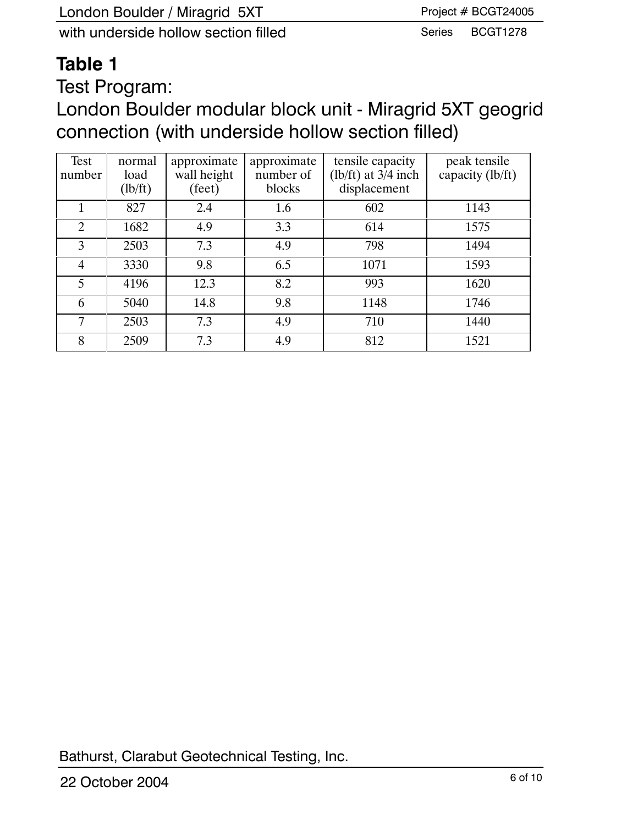# **Table 1**

Test Program:

London Boulder modular block unit - Miragrid 5XT geogrid connection (with underside hollow section filled)

| Test<br>number | normal<br>load<br>(lb/ft) | approximate<br>wall height<br>(feet) | approximate<br>number of<br>blocks | tensile capacity<br>(lb/ft) at $3/4$ inch<br>displacement | peak tensile<br>capacity (lb/ft) |
|----------------|---------------------------|--------------------------------------|------------------------------------|-----------------------------------------------------------|----------------------------------|
|                | 827                       | 2.4                                  | 1.6                                | 602                                                       | 1143                             |
| 2              | 1682                      | 4.9                                  | 3.3                                | 614                                                       | 1575                             |
| 3              | 2503                      | 7.3                                  | 4.9                                | 798                                                       | 1494                             |
| $\overline{4}$ | 3330                      | 9.8                                  | 6.5                                | 1071                                                      | 1593                             |
| 5              | 4196                      | 12.3                                 | 8.2                                | 993                                                       | 1620                             |
| 6              | 5040                      | 14.8                                 | 9.8                                | 1148                                                      | 1746                             |
| 7              | 2503                      | 7.3                                  | 4.9                                | 710                                                       | 1440                             |
| 8              | 2509                      | 7.3                                  | 4.9                                | 812                                                       | 1521                             |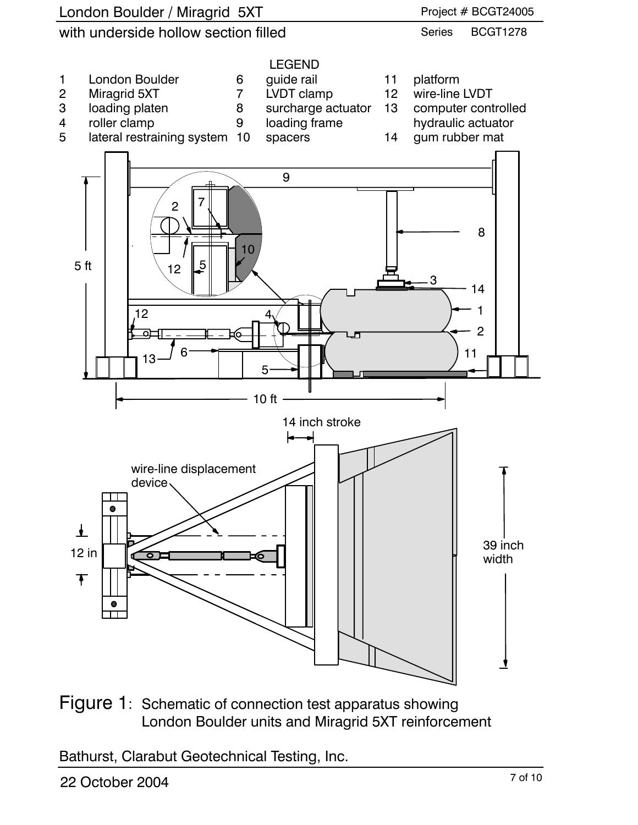

Figure 1: Schematic of connection test apparatus showing London Boulder units and Miragrid 5XT reinforcement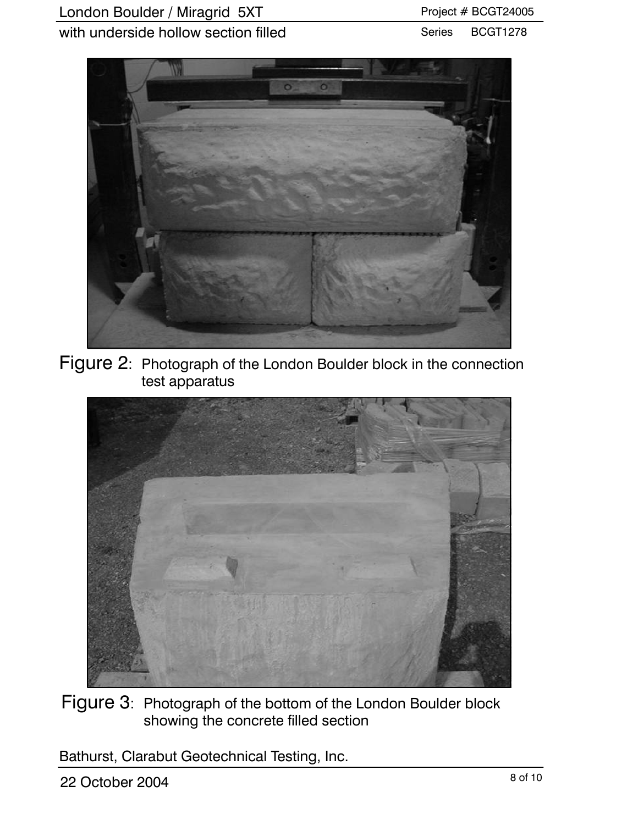#### Series BCGT1278



Figure 2: Photograph of the London Boulder block in the connection test apparatus



Figure 3: Photograph of the bottom of the London Boulder block showing the concrete filled section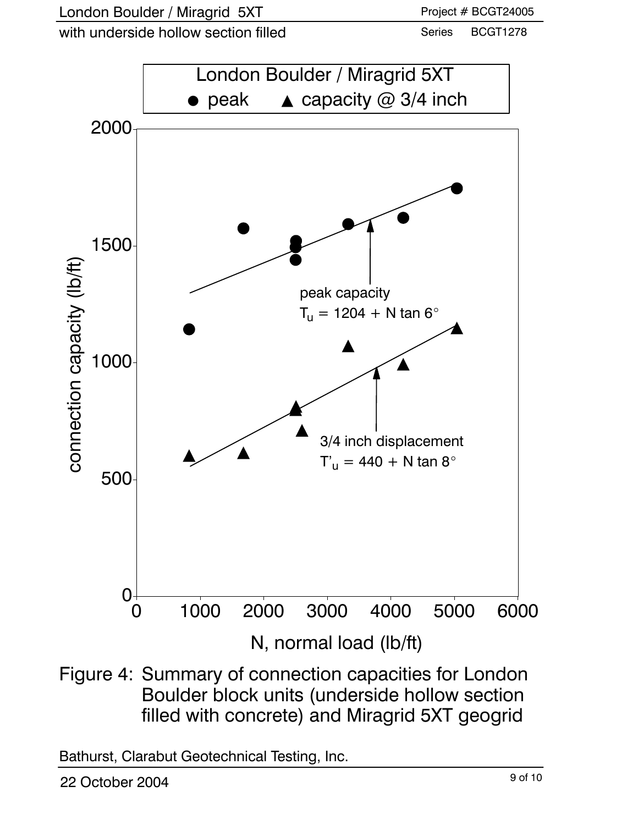with underside hollow section filled

Series BCGT1278



Figure 4: Summary of connection capacities for London Boulder block units (underside hollow section filled with concrete) and Miragrid 5XT geogrid